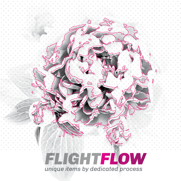## **FLIGHTFLOW** unique items by dedicated process

4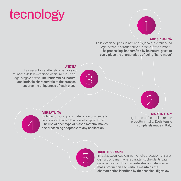## tecnology



### **ARTIGIANALITÀ**

La lavorazione, per sua natura artigianale, conferisce ad ogni pezzo la caratteristica di essere "fatto a mano". The processing, handcrafted by its nature, gives to every piece the characteristic of being "hand made"

### **UNICITÀ**

La casualità, caratteristica naturale ed intrinseca della lavorazione, assicura l'unicità di ogni singolo pezzo. The randomness, natural and intrinsic characteristic of the process, ensures the uniqueness of each piece.







### **VERSATILITÀ**

L'utilizzo di ogni tipo di materia plastica rende la lavorazione adattabile a qualsiasi applicazione. The use of each type of plastic material makes the processing adaptable to any application.

#### **MADE IN ITALY**

Ogni articolo è completamente prodotto in italia. Each item is completely made in Italy.



### **IDENTIFICAZIONE**

In realizzazioni custom, come nelle produzioni di serie, ogni articolo mantiene le caratteristiche identificate dalla tecnica flightflow. In realizations custom as in mass production each article maintains the characteristics identified by the technical flightflow.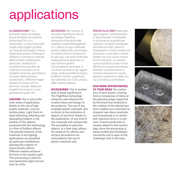# applications

Illuminazione È fra i principali campi di impiego, grazie all'utilizzo di materiali performanti fra cui il metacrilato. La luce trova nelle maglie degli oggetti prodotti con questa tecnologia il mezzo ideale dove potersi rinfrangere, riflettere e scomporsi, creando effetti brillanti. Applicazioni particolari, esaltando le caratteristiche peculiari dei materiali a contatto con la sorgente luminosa, permettono di creare effetti luminosi caratteristici. Differenti maglie esaltano la forma nel loro percorso casuale. Ideale per sorgenti luminose di nuova generazione quali i led.

**LIGHTING** This is one of the main areas of application, thanks to the use of high quality materials, such as methacrylate. Light finds its ideal refracting, reflecting and separating medium in the meshes of the objects produced with this technology, in a flow of brilliant effects. The peculiar features of the materials in the lighting applications are amplified by particular installations, allowing the creation of characteristic effects. Different meshes enhance the form of the random path. This processing is ideal for next-generation light sources such as LEDs.

Accessori Altro settore di rilevante importanza dove la tecnologia Flightflow interpreta ed esalta le idee creative è quella dell'oggettistica. L'utilizzo di ogni materiale plastico disponibile, servendosi di materie prime e compound di ogni tipo, non pone limite alla realizzazione di applicativi di ogni forma e genere. L'eventualità di verniciare, in una fase successiva, gli oggetti creati, rende possibile la ricerca di effetti e finiture superficiali non ottenibili con il solo utilizzo della materia plastica.

**ACCESSORIES** This is another area of great significance. The Flightflow technology interprets and enhance the creative ideas and design of the products. The use of any available plastic materials sets no limits to the realization of objects of any form thanks to the exploitation of any kind of raw materials and compounds. The possibility to paint the objects, at a later step, allows the research for effects and surface decorations not achievable by the use of plastic materials only.

SPAZIO ALLE IDEE Realizzare ogni progetto, confrontandosi in fase di studio e sfruttando le conoscenze acquisite per ottenere il prodotto desiderato, permette ai nostri clienti di interpretare in modo creativo ed innovativo nuove idee o reinterpretare con una nuova visione forme classiche. La realizzazione di prodotti custom trova affinità con questa tecnologia, essendo una lavorazione in continua evoluzione e studio, aperta a sostenere le sfide con cui si troverà a confrontarsi.

#### Give more opportunities TO YOUR IDEAS The realiza-

tion of each project, starting from a comparison of ideas at the planning stage supported by the know-how finalized to the creation of the desired product, enables our customers to interpret new ideas creatively and innovatively or to reinterpret classical forms in a new view. Custom production is closely related to this technology, since the processing is being studied and developed constantly and is open to the challenges that it will meet.





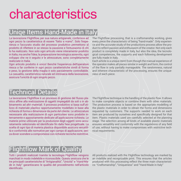## characteristics

### Uniqe Items Hand-Made in Italy

La lavorazione Flightflow, per sua natura artigianale, conferisce ad ogni pezzo la caratteristica di essere "fatto a mano". Solo l'esperienza e l'accurato studio del processo produttivo permettono al prodotto di riflettere in se stesso la passione e l'entusiasmo di chi lo ha realizzato. Non solo ogni articolo viene interamente prodotto in Italia, ma anche l'idea, la preparazione tecnologica asservita, ogni sviluppo che ne è seguito e le attrezzature, sono completamente realizzate in Italia.

Ogni articolo prodotto è unico! Benché l'esperienza dell'operatore riesca a far conferire in ogni pezzo caratteristiche simili di forma e peso, la gestione della maglia è solo parzialmente controllabile. La casualità, caratteristica naturale ed intrinseca della lavorazione, assicura l'unicità di ogni singolo pezzo.

The Flightflow processing, that is a craftsmanship working, gives every piece the characteristic of being "hand-made". Only experience and the accurate study of the productions process allow the product to reflect passion and enthusiasm of the creator. Not only each product is completely made in Italy, but also the idea, the tecnological competences, the supports and each following development are fully made in Italy.

Each article is a unique item! Even though the manual experience of the operator makes all pieces similar in weight and form, the control of the flow is only partially manageable. The randomness, natural and inherent characteristic of the processing, ensures the uniqueness of each piece.

### Technical Details

La lavorazione Flightflow è un processo di gestione del flusso plastico affine alla realizzazione di oggetti impiegabili da soli o in abbinamento ad altri materiali. Il processo produttivo si basa sull'utilizzo di materiale plastico opportunamente modellato in base alla richiesta di forma e dimensione da parte del cliente. Le attrezzature necessarie alla realizzazione di ogni particolare sono prodotte internamente e appositamente dedicate all'applicazione richiesta. Le materie prime utilizzate per la produzione degli oggetti sono accuratamente selezionate ed identificate fin dalla fase progettuale. La scelta di ogni tipo di materia plastica disponibile assicura versatilità e conformità alle normative per ogni campo di applicazione, senza dover scendere a compromessi con richieste tecniche restrittive.

The Flightflow technique is the handling of the plastic flow. It allows to make complete objects or combine them with other materials. The production process is based on the appropriate modelling of the plastic materials in order to obtain the forms and dimensions requested by customers. The supports needed to work on each item are produced by ourselves and specifically designed for that item. Plastic materials used are carefully selected at the planning stage. The selection among all kinds of available plastic materials ensures versatility and conformity with the regulations of any field of use, without having to make compromises with restrictive technical requirements.

### Flightflow Mark of Quality

Tutti i prodotti realizzati tramite la tecnologia Flightflow vengono marchiati in modo indelebile e riconoscibile. Questo assicura che le tre principali caratteristiche di "Artigianalità", "Unicità" e "Hand-Made in Italy" garantiscano le qualità del procedimento nell'articolo identificato.

All products realized with the Flightflow technology are marked by an indelible and recognizable print. This ensures that the articles produced with this processing reflect the three main characteristics: "Craftsmanship", "Uniqueness" and "Hand-Made in Italy"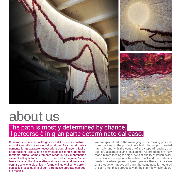

## about us The path is mostly determined by chance. Il percorso è in gran parte determinato dal caso.

Ci siamo specializzati nella gestione del processo costruttivo: dall'idea alla creazione del prodotto. Realizzando internamente le attrezzature necessarie e controllando la fasi di progettazione, produzione, assemblaggio e confezionamento, forniamo articoli completamente Made in Italy mantenendo elevati livelli qualitativi, in grado di contraddistinguere l'eccellenza italiana. Stabilite le attrezzature e i materiali necessari, ogni articolo, che sia unico in forma e linea o di serie, porterà con se le stesse qualità di ogni altro pezzo prodotto con questa tecnica.

We are specialized in the managing of the making process: from the idea to the product. We build the support needed internally and with the control of the steps of: design, production, assembling and packaging. All products are fully made in Italy keeping the high levels of quality of Italian excellence. Once the supports have been built and the materials needed have been picked out, each piece, either a unique item or a production model, will carry the same peculiar features of each other piece produced with the Flightflow technology.